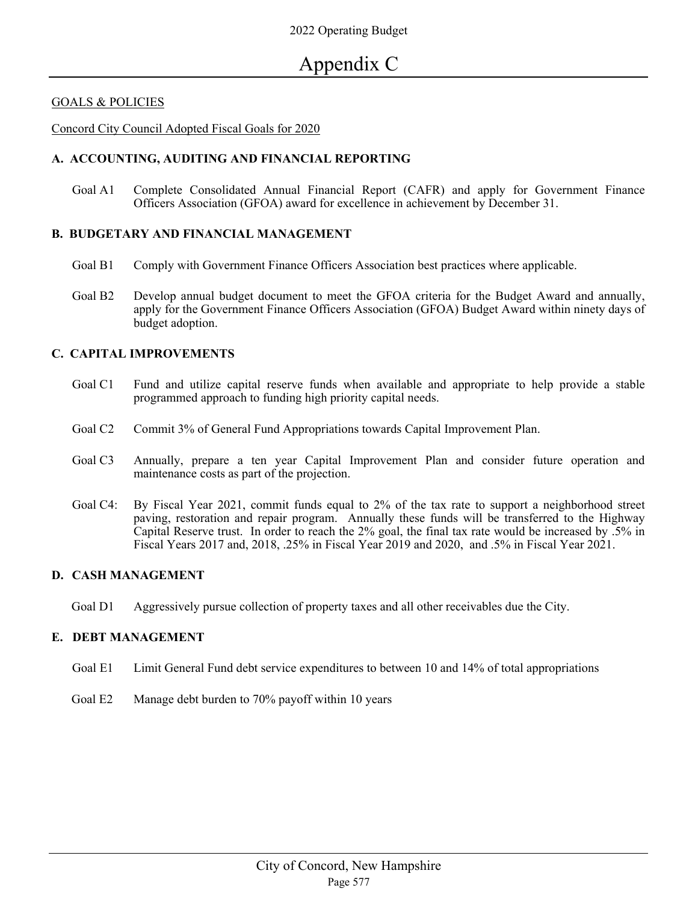### GOALS & POLICIES

Concord City Council Adopted Fiscal Goals for 2020

### **A. ACCOUNTING, AUDITING AND FINANCIAL REPORTING**

Goal A1 Complete Consolidated Annual Financial Report (CAFR) and apply for Government Finance Officers Association (GFOA) award for excellence in achievement by December 31.

#### **B. BUDGETARY AND FINANCIAL MANAGEMENT**

- Goal B1 Comply with Government Finance Officers Association best practices where applicable.
- Goal B2 Develop annual budget document to meet the GFOA criteria for the Budget Award and annually, apply for the Government Finance Officers Association (GFOA) Budget Award within ninety days of budget adoption.

### **C. CAPITAL IMPROVEMENTS**

- Goal C1 Fund and utilize capital reserve funds when available and appropriate to help provide a stable programmed approach to funding high priority capital needs.
- Goal C2 Commit 3% of General Fund Appropriations towards Capital Improvement Plan.
- Goal C3 Annually, prepare a ten year Capital Improvement Plan and consider future operation and maintenance costs as part of the projection.
- Goal C4: By Fiscal Year 2021, commit funds equal to 2% of the tax rate to support a neighborhood street paving, restoration and repair program. Annually these funds will be transferred to the Highway Capital Reserve trust. In order to reach the 2% goal, the final tax rate would be increased by .5% in Fiscal Years 2017 and, 2018, .25% in Fiscal Year 2019 and 2020, and .5% in Fiscal Year 2021.

### **D. CASH MANAGEMENT**

Goal D1 Aggressively pursue collection of property taxes and all other receivables due the City.

### **E. DEBT MANAGEMENT**

- Goal E1 Limit General Fund debt service expenditures to between 10 and 14% of total appropriations
- Goal E2 Manage debt burden to 70% payoff within 10 years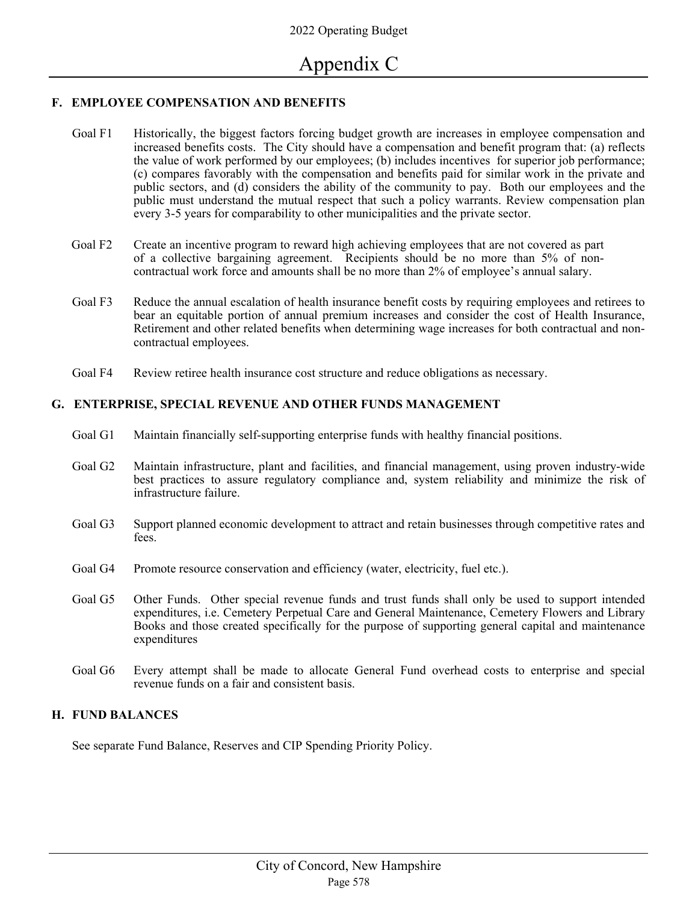## **F. EMPLOYEE COMPENSATION AND BENEFITS**

- Goal F1 Historically, the biggest factors forcing budget growth are increases in employee compensation and increased benefits costs. The City should have a compensation and benefit program that: (a) reflects the value of work performed by our employees; (b) includes incentives for superior job performance; (c) compares favorably with the compensation and benefits paid for similar work in the private and public sectors, and (d) considers the ability of the community to pay. Both our employees and the public must understand the mutual respect that such a policy warrants. Review compensation plan every 3-5 years for comparability to other municipalities and the private sector.
- Goal F2 Create an incentive program to reward high achieving employees that are not covered as part of a collective bargaining agreement. Recipients should be no more than 5% of noncontractual work force and amounts shall be no more than 2% of employee's annual salary.
- Goal F3 Reduce the annual escalation of health insurance benefit costs by requiring employees and retirees to bear an equitable portion of annual premium increases and consider the cost of Health Insurance, Retirement and other related benefits when determining wage increases for both contractual and noncontractual employees.
- Goal F4 Review retiree health insurance cost structure and reduce obligations as necessary.

## **G. ENTERPRISE, SPECIAL REVENUE AND OTHER FUNDS MANAGEMENT**

- Goal G1 Maintain financially self-supporting enterprise funds with healthy financial positions.
- Goal G2 Maintain infrastructure, plant and facilities, and financial management, using proven industry-wide best practices to assure regulatory compliance and, system reliability and minimize the risk of infrastructure failure.
- Goal G3 Support planned economic development to attract and retain businesses through competitive rates and fees.
- Goal G4 Promote resource conservation and efficiency (water, electricity, fuel etc.).
- Goal G5 Other Funds. Other special revenue funds and trust funds shall only be used to support intended expenditures, i.e. Cemetery Perpetual Care and General Maintenance, Cemetery Flowers and Library Books and those created specifically for the purpose of supporting general capital and maintenance expenditures
- Goal G6 Every attempt shall be made to allocate General Fund overhead costs to enterprise and special revenue funds on a fair and consistent basis.

## **H. FUND BALANCES**

See separate Fund Balance, Reserves and CIP Spending Priority Policy.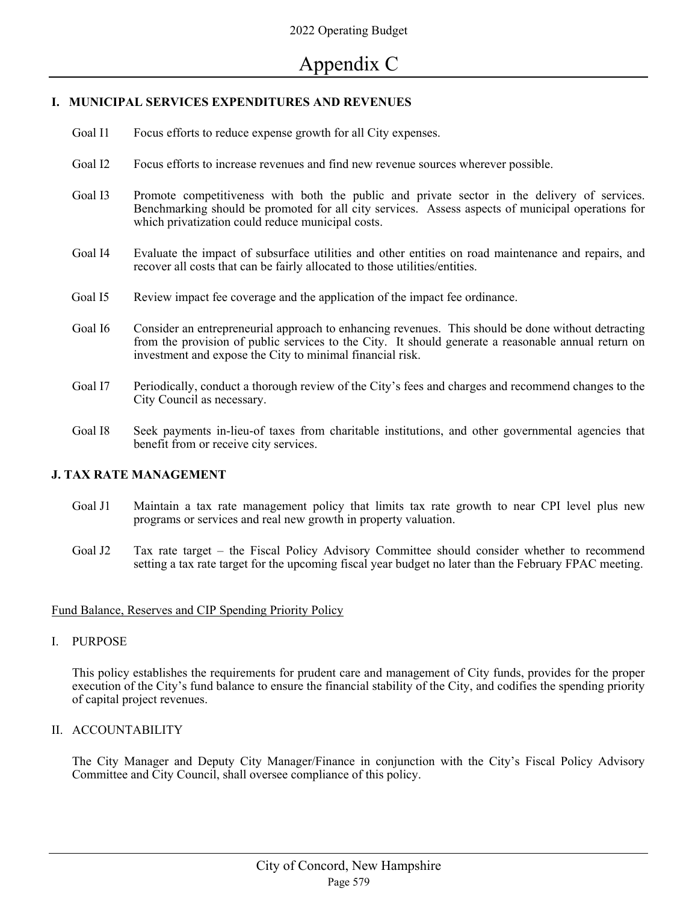## **I. MUNICIPAL SERVICES EXPENDITURES AND REVENUES**

- Goal I1 Focus efforts to reduce expense growth for all City expenses.
- Goal I2 Focus efforts to increase revenues and find new revenue sources wherever possible.
- Goal I3 Promote competitiveness with both the public and private sector in the delivery of services. Benchmarking should be promoted for all city services.Assess aspects of municipal operations for which privatization could reduce municipal costs.
- Goal I4 Evaluate the impact of subsurface utilities and other entities on road maintenance and repairs, and recover all costs that can be fairly allocated to those utilities/entities.
- Goal I5 Review impact fee coverage and the application of the impact fee ordinance.
- Goal I6 Consider an entrepreneurial approach to enhancing revenues. This should be done without detracting from the provision of public services to the City. It should generate a reasonable annual return on investment and expose the City to minimal financial risk.
- Goal I7 Periodically, conduct a thorough review of the City's fees and charges and recommend changes to the City Council as necessary.
- Goal I8 Seek payments in-lieu-of taxes from charitable institutions, and other governmental agencies that benefit from or receive city services.

### **J. TAX RATE MANAGEMENT**

- Goal J1 Maintain a tax rate management policy that limits tax rate growth to near CPI level plus new programs or services and real new growth in property valuation.
- Goal J2 Tax rate target the Fiscal Policy Advisory Committee should consider whether to recommend setting a tax rate target for the upcoming fiscal year budget no later than the February FPAC meeting.

### Fund Balance, Reserves and CIP Spending Priority Policy

I. PURPOSE

This policy establishes the requirements for prudent care and management of City funds, provides for the proper execution of the City's fund balance to ensure the financial stability of the City, and codifies the spending priority of capital project revenues.

II. ACCOUNTABILITY

The City Manager and Deputy City Manager/Finance in conjunction with the City's Fiscal Policy Advisory Committee and City Council, shall oversee compliance of this policy.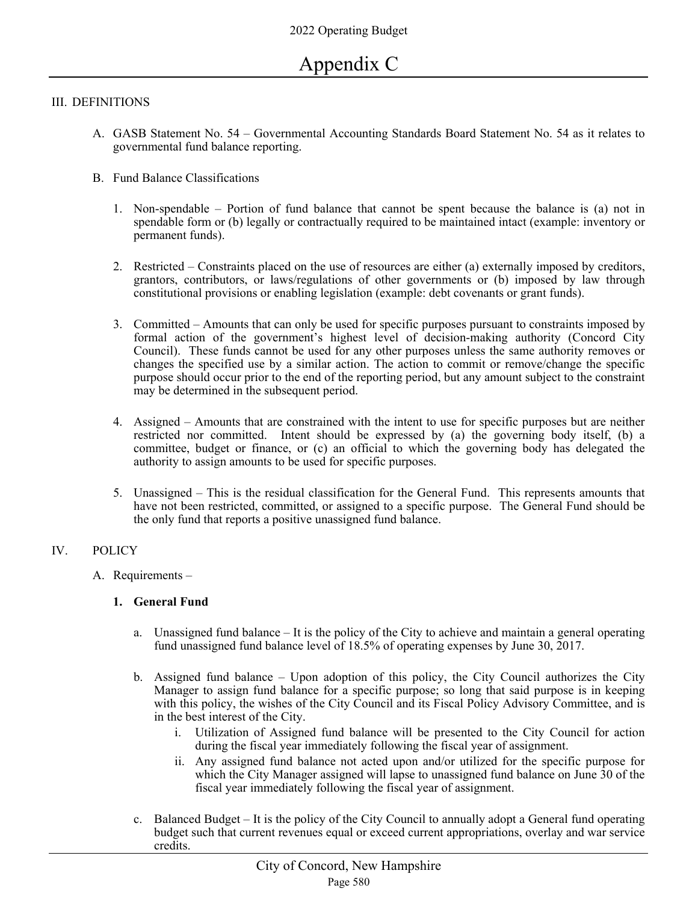### III. DEFINITIONS

- A. GASB Statement No. 54 Governmental Accounting Standards Board Statement No. 54 as it relates to governmental fund balance reporting.
- B. Fund Balance Classifications
	- 1. Non-spendable Portion of fund balance that cannot be spent because the balance is (a) not in spendable form or (b) legally or contractually required to be maintained intact (example: inventory or permanent funds).
	- 2. Restricted Constraints placed on the use of resources are either (a) externally imposed by creditors, grantors, contributors, or laws/regulations of other governments or (b) imposed by law through constitutional provisions or enabling legislation (example: debt covenants or grant funds).
	- 3. Committed Amounts that can only be used for specific purposes pursuant to constraints imposed by formal action of the government's highest level of decision-making authority (Concord City Council). These funds cannot be used for any other purposes unless the same authority removes or changes the specified use by a similar action. The action to commit or remove/change the specific purpose should occur prior to the end of the reporting period, but any amount subject to the constraint may be determined in the subsequent period.
	- 4. Assigned Amounts that are constrained with the intent to use for specific purposes but are neither restricted nor committed. Intent should be expressed by (a) the governing body itself, (b) a committee, budget or finance, or (c) an official to which the governing body has delegated the authority to assign amounts to be used for specific purposes.
	- 5. Unassigned This is the residual classification for the General Fund. This represents amounts that have not been restricted, committed, or assigned to a specific purpose. The General Fund should be the only fund that reports a positive unassigned fund balance.

### IV. POLICY

A. Requirements –

### **1. General Fund**

- a. Unassigned fund balance It is the policy of the City to achieve and maintain a general operating fund unassigned fund balance level of 18.5% of operating expenses by June 30, 2017.
- b. Assigned fund balance Upon adoption of this policy, the City Council authorizes the City Manager to assign fund balance for a specific purpose; so long that said purpose is in keeping with this policy, the wishes of the City Council and its Fiscal Policy Advisory Committee, and is in the best interest of the City.
	- i. Utilization of Assigned fund balance will be presented to the City Council for action during the fiscal year immediately following the fiscal year of assignment.
	- ii. Any assigned fund balance not acted upon and/or utilized for the specific purpose for which the City Manager assigned will lapse to unassigned fund balance on June 30 of the fiscal year immediately following the fiscal year of assignment.
- c. Balanced Budget It is the policy of the City Council to annually adopt a General fund operating budget such that current revenues equal or exceed current appropriations, overlay and war service credits.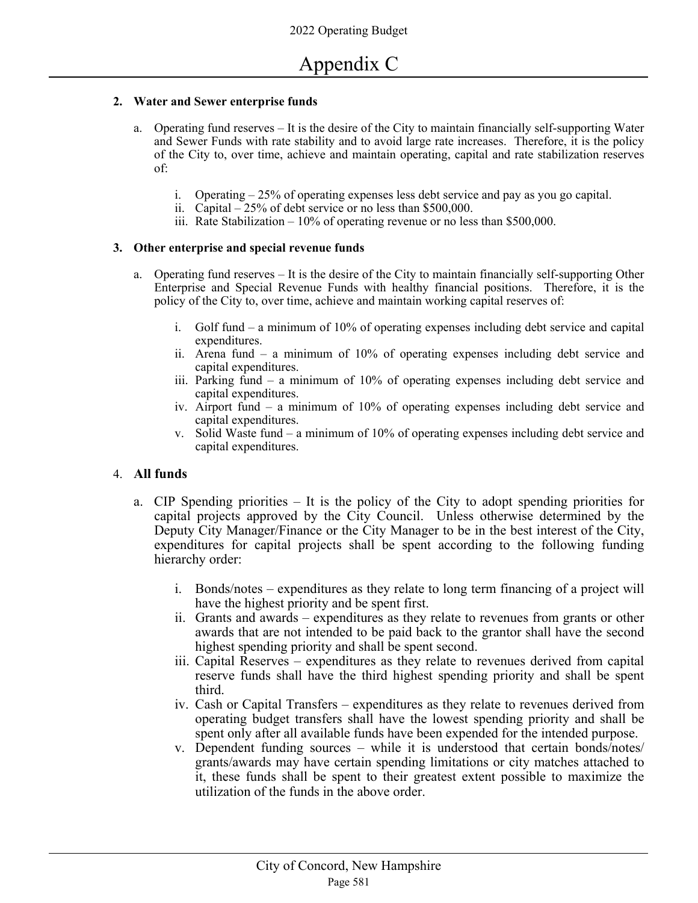## **2. Water and Sewer enterprise funds**

- a. Operating fund reserves It is the desire of the City to maintain financially self-supporting Water and Sewer Funds with rate stability and to avoid large rate increases. Therefore, it is the policy of the City to, over time, achieve and maintain operating, capital and rate stabilization reserves of:
	- i. Operating 25% of operating expenses less debt service and pay as you go capital.
	- ii. Capital 25% of debt service or no less than \$500,000.
	- iii. Rate Stabilization 10% of operating revenue or no less than \$500,000.

## **3. Other enterprise and special revenue funds**

- a. Operating fund reserves It is the desire of the City to maintain financially self-supporting Other Enterprise and Special Revenue Funds with healthy financial positions. Therefore, it is the policy of the City to, over time, achieve and maintain working capital reserves of:
	- i. Golf fund a minimum of 10% of operating expenses including debt service and capital expenditures.
	- ii. Arena fund a minimum of 10% of operating expenses including debt service and capital expenditures.
	- iii. Parking fund a minimum of 10% of operating expenses including debt service and capital expenditures.
	- iv. Airport fund a minimum of 10% of operating expenses including debt service and capital expenditures.
	- v. Solid Waste fund a minimum of 10% of operating expenses including debt service and capital expenditures.

## 4. **All funds**

- a. CIP Spending priorities It is the policy of the City to adopt spending priorities for capital projects approved by the City Council. Unless otherwise determined by the Deputy City Manager/Finance or the City Manager to be in the best interest of the City, expenditures for capital projects shall be spent according to the following funding hierarchy order:
	- i. Bonds/notes expenditures as they relate to long term financing of a project will have the highest priority and be spent first.
	- ii. Grants and awards expenditures as they relate to revenues from grants or other awards that are not intended to be paid back to the grantor shall have the second highest spending priority and shall be spent second.
	- iii. Capital Reserves expenditures as they relate to revenues derived from capital reserve funds shall have the third highest spending priority and shall be spent third.
	- iv. Cash or Capital Transfers expenditures as they relate to revenues derived from operating budget transfers shall have the lowest spending priority and shall be spent only after all available funds have been expended for the intended purpose.
	- v. Dependent funding sources while it is understood that certain bonds/notes/ grants/awards may have certain spending limitations or city matches attached to it, these funds shall be spent to their greatest extent possible to maximize the utilization of the funds in the above order.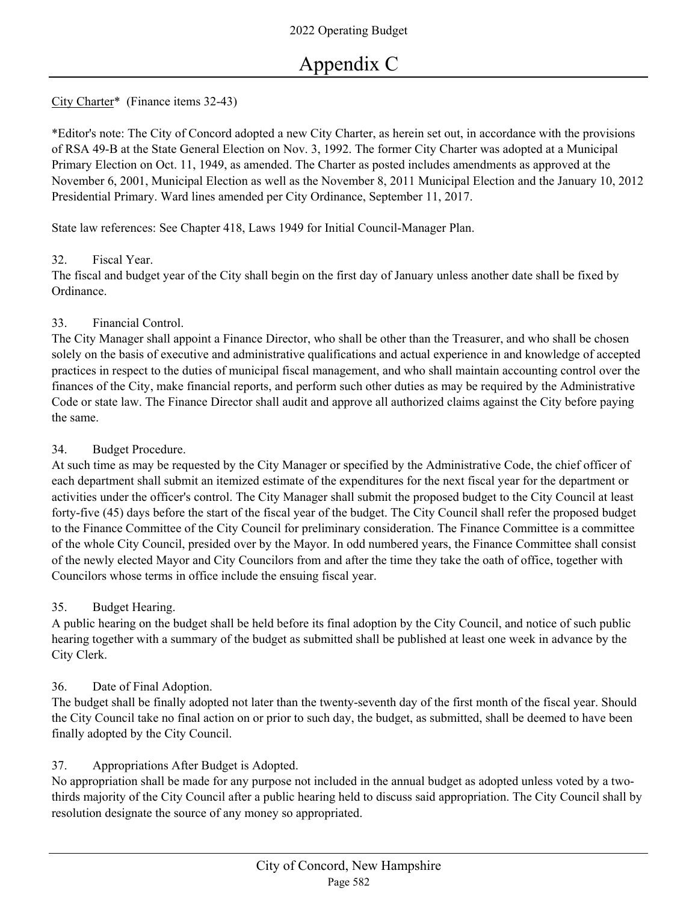# City Charter\* (Finance items 32-43)

\*Editor's note: The City of Concord adopted a new City Charter, as herein set out, in accordance with the provisions of RSA 49-B at the State General Election on Nov. 3, 1992. The former City Charter was adopted at a Municipal Primary Election on Oct. 11, 1949, as amended. The Charter as posted includes amendments as approved at the November 6, 2001, Municipal Election as well as the November 8, 2011 Municipal Election and the January 10, 2012 Presidential Primary. Ward lines amended per City Ordinance, September 11, 2017.

State law references: See Chapter 418, Laws 1949 for Initial Council-Manager Plan.

## 32. Fiscal Year.

The fiscal and budget year of the City shall begin on the first day of January unless another date shall be fixed by Ordinance.

# 33. Financial Control.

The City Manager shall appoint a Finance Director, who shall be other than the Treasurer, and who shall be chosen solely on the basis of executive and administrative qualifications and actual experience in and knowledge of accepted practices in respect to the duties of municipal fiscal management, and who shall maintain accounting control over the finances of the City, make financial reports, and perform such other duties as may be required by the Administrative Code or state law. The Finance Director shall audit and approve all authorized claims against the City before paying the same.

# 34. Budget Procedure.

At such time as may be requested by the City Manager or specified by the Administrative Code, the chief officer of each department shall submit an itemized estimate of the expenditures for the next fiscal year for the department or activities under the officer's control. The City Manager shall submit the proposed budget to the City Council at least forty-five (45) days before the start of the fiscal year of the budget. The City Council shall refer the proposed budget to the Finance Committee of the City Council for preliminary consideration. The Finance Committee is a committee of the whole City Council, presided over by the Mayor. In odd numbered years, the Finance Committee shall consist of the newly elected Mayor and City Councilors from and after the time they take the oath of office, together with Councilors whose terms in office include the ensuing fiscal year.

# 35. Budget Hearing.

A public hearing on the budget shall be held before its final adoption by the City Council, and notice of such public hearing together with a summary of the budget as submitted shall be published at least one week in advance by the City Clerk.

# 36. Date of Final Adoption.

The budget shall be finally adopted not later than the twenty-seventh day of the first month of the fiscal year. Should the City Council take no final action on or prior to such day, the budget, as submitted, shall be deemed to have been finally adopted by the City Council.

# 37. Appropriations After Budget is Adopted.

No appropriation shall be made for any purpose not included in the annual budget as adopted unless voted by a twothirds majority of the City Council after a public hearing held to discuss said appropriation. The City Council shall by resolution designate the source of any money so appropriated.